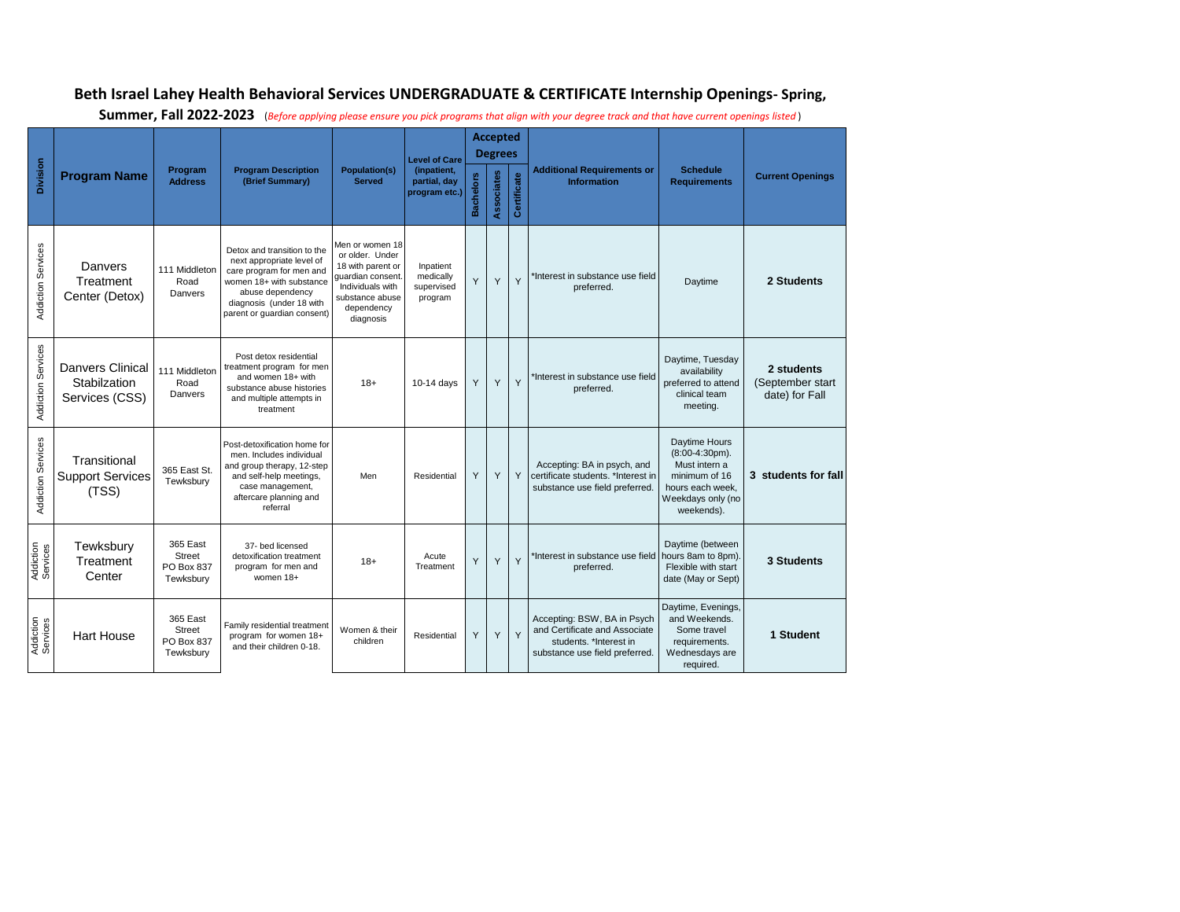## **Beth Israel Lahey Health Behavioral Services UNDERGRADUATE & CERTIFICATE Internship Openings- Spring,**

| <b>Division</b>           | <b>Program Name</b>                                       | Program<br><b>Address</b>                            | <b>Program Description</b><br>(Brief Summary)                                                                                                                                                   | <b>Population(s)</b><br><b>Served</b>                                                                                                          | <b>Level of Care</b><br>(inpatient,<br>partial, day<br>program etc.) | <b>Accepted</b><br><b>Degrees</b> |            |             |                                                                                                                         |                                                                                                                            |                                                  |
|---------------------------|-----------------------------------------------------------|------------------------------------------------------|-------------------------------------------------------------------------------------------------------------------------------------------------------------------------------------------------|------------------------------------------------------------------------------------------------------------------------------------------------|----------------------------------------------------------------------|-----------------------------------|------------|-------------|-------------------------------------------------------------------------------------------------------------------------|----------------------------------------------------------------------------------------------------------------------------|--------------------------------------------------|
|                           |                                                           |                                                      |                                                                                                                                                                                                 |                                                                                                                                                |                                                                      | <b>Bachelors</b>                  | Associates | Certificate | <b>Additional Requirements or</b><br><b>Information</b>                                                                 | <b>Schedule</b><br><b>Requirements</b>                                                                                     | <b>Current Openings</b>                          |
| <b>Addiction Services</b> | Danvers<br>Treatment<br>Center (Detox)                    | 111 Middleton<br>Road<br>Danvers                     | Detox and transition to the<br>next appropriate level of<br>care program for men and<br>women 18+ with substance<br>abuse dependency<br>diagnosis (under 18 with<br>parent or guardian consent) | Men or women 18<br>or older. Under<br>18 with parent or<br>quardian consent.<br>Individuals with<br>substance abuse<br>dependency<br>diagnosis | Inpatient<br>medically<br>supervised<br>program                      | Y                                 | Y          | Y           | *Interest in substance use field<br>preferred.                                                                          | Daytime                                                                                                                    | 2 Students                                       |
| Addiction Services        | <b>Danvers Clinical</b><br>Stabilzation<br>Services (CSS) | 111 Middleton<br>Road<br>Danvers                     | Post detox residential<br>treatment program for men<br>and women 18+ with<br>substance abuse histories<br>and multiple attempts in<br>treatment                                                 | $18+$                                                                                                                                          | 10-14 days                                                           | Y                                 | Y          | Y           | 'Interest in substance use field<br>preferred.                                                                          | Daytime, Tuesday<br>availability<br>preferred to attend<br>clinical team<br>meeting.                                       | 2 students<br>(September start<br>date) for Fall |
| <b>Addiction Services</b> | Transitional<br><b>Support Services</b><br>(TSS)          | 365 East St.<br>Tewksbury                            | Post-detoxification home for<br>men. Includes individual<br>and group therapy, 12-step<br>and self-help meetings.<br>case management,<br>aftercare planning and<br>referral                     | Men                                                                                                                                            | Residential                                                          | Y                                 | Y          | Y           | Accepting: BA in psych, and<br>certificate students, *Interest in<br>substance use field preferred.                     | Daytime Hours<br>$(8:00-4:30pm).$<br>Must intern a<br>minimum of 16<br>hours each week,<br>Weekdays only (no<br>weekends). | 3 students for fall                              |
| Addiction<br>Services     | Tewksbury<br>Treatment<br>Center                          | 365 East<br>Street<br>PO Box 837<br>Tewksbury        | 37- bed licensed<br>detoxification treatment<br>program for men and<br>women 18+                                                                                                                | $18+$                                                                                                                                          | Acute<br>Treatment                                                   | Y                                 | Y          | Y           | *Interest in substance use field<br>preferred.                                                                          | Daytime (between<br>hours 8am to 8pm).<br>Flexible with start<br>date (May or Sept)                                        | 3 Students                                       |
| Addiction<br>Services     | <b>Hart House</b>                                         | 365 East<br><b>Street</b><br>PO Box 837<br>Tewksbury | Family residential treatment<br>program for women 18+<br>and their children 0-18.                                                                                                               | Women & their<br>children                                                                                                                      | Residential                                                          | Υ                                 | Υ          | Y           | Accepting: BSW, BA in Psych<br>and Certificate and Associate<br>students. *Interest in<br>substance use field preferred | Daytime, Evenings,<br>and Weekends.<br>Some travel<br>requirements.<br>Wednesdays are<br>required.                         | 1 Student                                        |

**Summer, Fall 2022-2023** (*Before applying please ensure you pick programs that align with your degree track and that have current openings listed* )